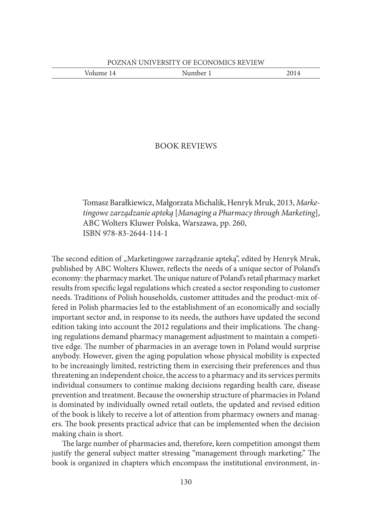| -- | umber 1<br>- | $-0.1$ |
|----|--------------|--------|
|    |              |        |

## BOOK REVIEWS

Tomasz Barałkiewicz, Małgorzata Michalik, Henryk Mruk, 2013, *Marketingowe zarządzanie apteką* [*Managing a Pharmacy through Marketing*], ABC Wolters Kluwer Polska, Warszawa, pp. 260, ISBN 978-83-2644-114-1

The second edition of "Marketingowe zarządzanie apteką", edited by Henryk Mruk, published by ABC Wolters Kluwer, reflects the needs of a unique sector of Poland's economy: the pharmacy market. The unique nature of Poland's retail pharmacy market results from specific legal regulations which created a sector responding to customer needs. Traditions of Polish households, customer attitudes and the product-mix offered in Polish pharmacies led to the establishment of an economically and socially important sector and, in response to its needs, the authors have updated the second edition taking into account the 2012 regulations and their implications. The changing regulations demand pharmacy management adjustment to maintain a competitive edge. The number of pharmacies in an average town in Poland would surprise anybody. However, given the aging population whose physical mobility is expected to be increasingly limited, restricting them in exercising their preferences and thus threatening an independent choice, the access to a pharmacy and its services permits individual consumers to continue making decisions regarding health care, disease prevention and treatment. Because the ownership structure of pharmacies in Poland is dominated by individually owned retail outlets, the updated and revised edition of the book is likely to receive a lot of attention from pharmacy owners and managers. The book presents practical advice that can be implemented when the decision making chain is short.

The large number of pharmacies and, therefore, keen competition amongst them justify the general subject matter stressing "management through marketing." The book is organized in chapters which encompass the institutional environment, in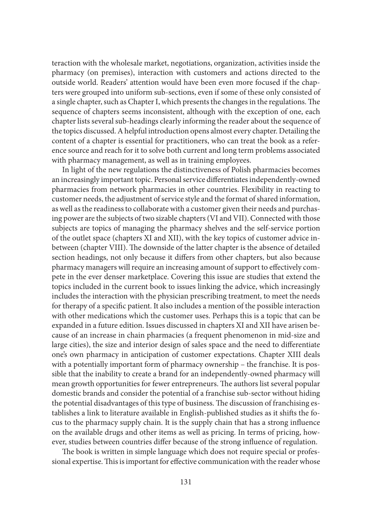teraction with the wholesale market, negotiations, organization, activities inside the pharmacy (on premises), interaction with customers and actions directed to the outside world. Readers' attention would have been even more focused if the chapters were grouped into uniform sub-sections, even if some of these only consisted of a single chapter, such as Chapter I, which presents the changes in the regulations. The sequence of chapters seems inconsistent, although with the exception of one, each chapter lists several sub-headings clearly informing the reader about the sequence of the topics discussed. A helpful introduction opens almost every chapter. Detailing the content of a chapter is essential for practitioners, who can treat the book as a reference source and reach for it to solve both current and long term problems associated with pharmacy management, as well as in training employees.

In light of the new regulations the distinctiveness of Polish pharmacies becomes an increasingly important topic. Personal service differentiates independently-owned pharmacies from network pharmacies in other countries. Flexibility in reacting to customer needs, the adjustment of service style and the format of shared information, as well as the readiness to collaborate with a customer given their needs and purchasing power are the subjects of two sizable chapters (VI and VII). Connected with those subjects are topics of managing the pharmacy shelves and the self-service portion of the outlet space (chapters XI and XII), with the key topics of customer advice inbetween (chapter VIII). The downside of the latter chapter is the absence of detailed section headings, not only because it differs from other chapters, but also because pharmacy managers will require an increasing amount of support to effectively compete in the ever denser marketplace. Covering this issue are studies that extend the topics included in the current book to issues linking the advice, which increasingly includes the interaction with the physician prescribing treatment, to meet the needs for therapy of a specific patient. It also includes a mention of the possible interaction with other medications which the customer uses. Perhaps this is a topic that can be expanded in a future edition. Issues discussed in chapters XI and XII have arisen because of an increase in chain pharmacies (a frequent phenomenon in mid-size and large cities), the size and interior design of sales space and the need to differentiate one's own pharmacy in anticipation of customer expectations. Chapter XIII deals with a potentially important form of pharmacy ownership – the franchise. It is possible that the inability to create a brand for an independently-owned pharmacy will mean growth opportunities for fewer entrepreneurs. The authors list several popular domestic brands and consider the potential of a franchise sub-sector without hiding the potential disadvantages of this type of business. The discussion of franchising establishes a link to literature available in English-published studies as it shifts the focus to the pharmacy supply chain. It is the supply chain that has a strong influence on the available drugs and other items as well as pricing. In terms of pricing, however, studies between countries differ because of the strong influence of regulation.

The book is written in simple language which does not require special or professional expertise. This is important for effective communication with the reader whose